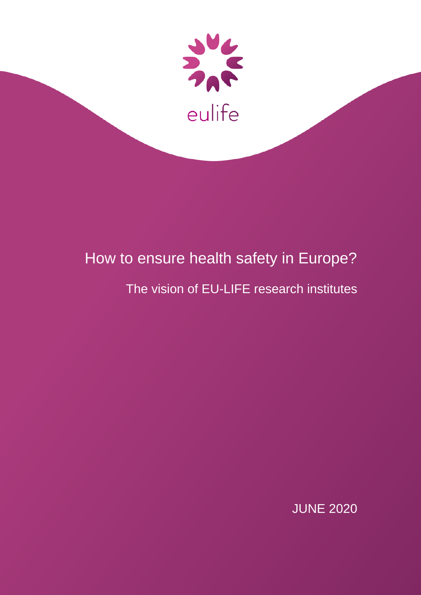

# How to ensure health safety in Europe?

## The vision of EU-LIFE research institutes

JUNE 2020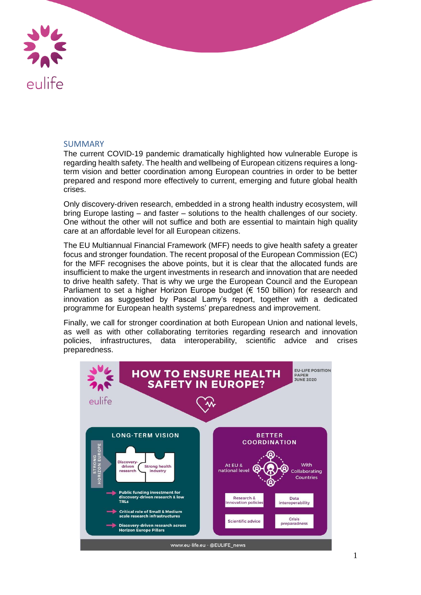

### SUMMARY

The current COVID-19 pandemic dramatically highlighted how vulnerable Europe is regarding health safety. The health and wellbeing of European citizens requires a longterm vision and better coordination among European countries in order to be better prepared and respond more effectively to current, emerging and future global health crises.

Only discovery-driven research, embedded in a strong health industry ecosystem, will bring Europe lasting – and faster – solutions to the health challenges of our society. One without the other will not suffice and both are essential to maintain high quality care at an affordable level for all European citizens.

The EU Multiannual Financial Framework (MFF) needs to give health safety a greater focus and stronger foundation. The recent proposal of the European Commission (EC) for the MFF recognises the above points, but it is clear that the allocated funds are insufficient to make the urgent investments in research and innovation that are needed to drive health safety. That is why we urge the European Council and the European Parliament to set a higher Horizon Europe budget (€ 150 billion) for research and innovation as suggested by Pascal Lamy's report, together with a dedicated programme for European health systems' preparedness and improvement.

Finally, we call for stronger coordination at both European Union and national levels, as well as with other collaborating territories regarding research and innovation policies, infrastructures, data interoperability, scientific advice and crises preparedness.

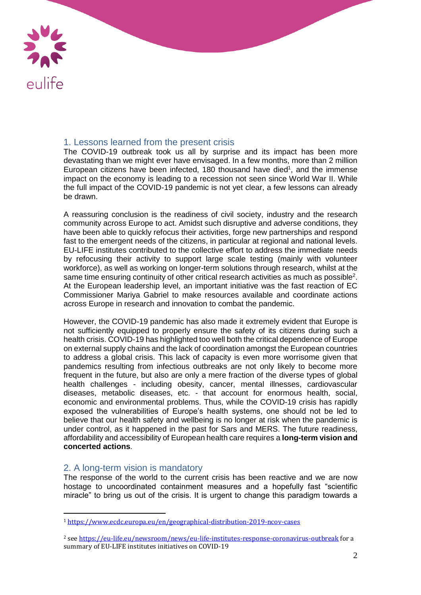

## 1. Lessons learned from the present crisis

The COVID-19 outbreak took us all by surprise and its impact has been more devastating than we might ever have envisaged. In a few months, more than 2 million European citizens have been infected, 180 thousand have died<sup>1</sup>, and the immense impact on the economy is leading to a recession not seen since World War II. While the full impact of the COVID-19 pandemic is not yet clear, a few lessons can already be drawn.

A reassuring conclusion is the readiness of civil society, industry and the research community across Europe to act. Amidst such disruptive and adverse conditions, they have been able to quickly refocus their activities, forge new partnerships and respond fast to the emergent needs of the citizens, in particular at regional and national levels. EU-LIFE institutes contributed to the collective effort to address the immediate needs by refocusing their activity to support large scale testing (mainly with volunteer workforce), as well as working on longer-term solutions through research, whilst at the same time ensuring continuity of other critical research activities as much as possible<sup>2</sup>. At the European leadership level, an important initiative was the fast reaction of EC Commissioner Mariya Gabriel to make resources available and coordinate actions across Europe in research and innovation to combat the pandemic.

However, the COVID-19 pandemic has also made it extremely evident that Europe is not sufficiently equipped to properly ensure the safety of its citizens during such a health crisis. COVID-19 has highlighted too well both the critical dependence of Europe on external supply chains and the lack of coordination amongst the European countries to address a global crisis. This lack of capacity is even more worrisome given that pandemics resulting from infectious outbreaks are not only likely to become more frequent in the future, but also are only a mere fraction of the diverse types of global health challenges - including obesity, cancer, mental illnesses, cardiovascular diseases, metabolic diseases, etc. - that account for enormous health, social, economic and environmental problems. Thus, while the COVID-19 crisis has rapidly exposed the vulnerabilities of Europe's health systems, one should not be led to believe that our health safety and wellbeing is no longer at risk when the pandemic is under control, as it happened in the past for Sars and MERS. The future readiness, affordability and accessibility of European health care requires a **long-term vision and concerted actions**.

## 2. A long-term vision is mandatory

 $\overline{a}$ 

The response of the world to the current crisis has been reactive and we are now hostage to uncoordinated containment measures and a hopefully fast "scientific miracle" to bring us out of the crisis. It is urgent to change this paradigm towards a

<sup>1</sup> <https://www.ecdc.europa.eu/en/geographical-distribution-2019-ncov-cases>

<sup>&</sup>lt;sup>2</sup> see<https://eu-life.eu/newsroom/news/eu-life-institutes-response-coronavirus-outbreak> for a summary of EU-LIFE institutes initiatives on COVID-19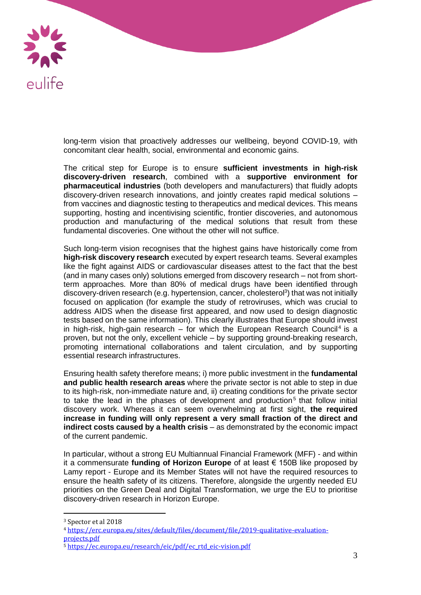

long-term vision that proactively addresses our wellbeing, beyond COVID-19, with concomitant clear health, social, environmental and economic gains.

The critical step for Europe is to ensure **sufficient investments in high-risk discovery-driven research**, combined with a **supportive environment for pharmaceutical industries** (both developers and manufacturers) that fluidly adopts discovery-driven research innovations, and jointly creates rapid medical solutions – from vaccines and diagnostic testing to therapeutics and medical devices. This means supporting, hosting and incentivising scientific, frontier discoveries, and autonomous production and manufacturing of the medical solutions that result from these fundamental discoveries. One without the other will not suffice.

Such long-term vision recognises that the highest gains have historically come from **high-risk discovery research** executed by expert research teams. Several examples like the fight against AIDS or cardiovascular diseases attest to the fact that the best (and in many cases only) solutions emerged from discovery research – not from shortterm approaches. More than 80% of medical drugs have been identified through discovery-driven research (e.g. hypertension, cancer, cholesterol<sup>3</sup>) that was not initially focused on application (for example the study of retroviruses, which was crucial to address AIDS when the disease first appeared, and now used to design diagnostic tests based on the same information). This clearly illustrates that Europe should invest in high-risk, high-gain research  $-$  for which the European Research Council<sup>4</sup> is a proven, but not the only, excellent vehicle – by supporting ground-breaking research, promoting international collaborations and talent circulation, and by supporting essential research infrastructures.

Ensuring health safety therefore means; i) more public investment in the **fundamental and public health research areas** where the private sector is not able to step in due to its high-risk, non-immediate nature and, ii) creating conditions for the private sector to take the lead in the phases of development and production<sup>5</sup> that follow initial discovery work. Whereas it can seem overwhelming at first sight, **the required increase in funding will only represent a very small fraction of the direct and indirect costs caused by a health crisis** – as demonstrated by the economic impact of the current pandemic.

In particular, without a strong EU Multiannual Financial Framework (MFF) - and within it a commensurate **funding of Horizon Europe** of at least € 150B like proposed by Lamy report - Europe and its Member States will not have the required resources to ensure the health safety of its citizens. Therefore, alongside the urgently needed EU priorities on the Green Deal and Digital Transformation, we urge the EU to prioritise discovery-driven research in Horizon Europe.

 $\overline{a}$ 

<sup>3</sup> Spector et al 2018

<sup>4</sup> [https://erc.europa.eu/sites/default/files/document/file/2019-qualitative-evaluation](https://erc.europa.eu/sites/default/files/document/file/2019-qualitative-evaluation-projects.pdf)[projects.pdf](https://erc.europa.eu/sites/default/files/document/file/2019-qualitative-evaluation-projects.pdf)

<sup>5</sup> [https://ec.europa.eu/research/eic/pdf/ec\\_rtd\\_eic-vision.pdf](https://ec.europa.eu/research/eic/pdf/ec_rtd_eic-vision.pdf)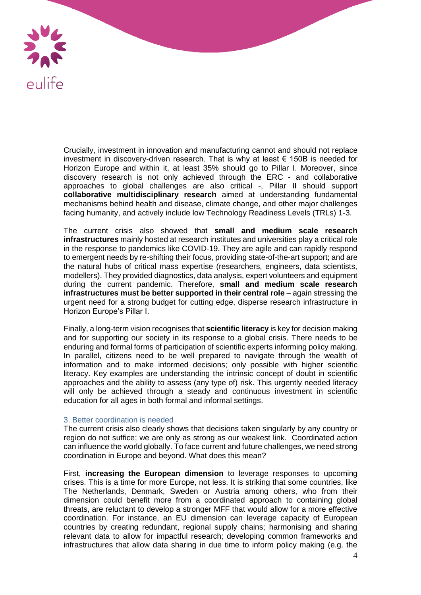

Crucially, investment in innovation and manufacturing cannot and should not replace investment in discovery-driven research. That is why at least € 150B is needed for Horizon Europe and within it, at least 35% should go to Pillar I. Moreover, since discovery research is not only achieved through the ERC - and collaborative approaches to global challenges are also critical -, Pillar II should support **collaborative multidisciplinary research** aimed at understanding fundamental mechanisms behind health and disease, climate change, and other major challenges facing humanity, and actively include low Technology Readiness Levels (TRLs) 1-3.

The current crisis also showed that **small and medium scale research infrastructures** mainly hosted at research institutes and universities play a critical role in the response to pandemics like COVID-19. They are agile and can rapidly respond to emergent needs by re-shifting their focus, providing state-of-the-art support; and are the natural hubs of critical mass expertise (researchers, engineers, data scientists, modellers). They provided diagnostics, data analysis, expert volunteers and equipment during the current pandemic. Therefore, **small and medium scale research infrastructures must be better supported in their central role** – again stressing the urgent need for a strong budget for cutting edge, disperse research infrastructure in Horizon Europe's Pillar I.

Finally, a long-term vision recognises that **scientific literacy** is key for decision making and for supporting our society in its response to a global crisis. There needs to be enduring and formal forms of participation of scientific experts informing policy making. In parallel, citizens need to be well prepared to navigate through the wealth of information and to make informed decisions; only possible with higher scientific literacy. Key examples are understanding the intrinsic concept of doubt in scientific approaches and the ability to assess (any type of) risk. This urgently needed literacy will only be achieved through a steady and continuous investment in scientific education for all ages in both formal and informal settings.

#### 3. Better coordination is needed

The current crisis also clearly shows that decisions taken singularly by any country or region do not suffice; we are only as strong as our weakest link. Coordinated action can influence the world globally. To face current and future challenges, we need strong coordination in Europe and beyond. What does this mean?

First, **increasing the European dimension** to leverage responses to upcoming crises. This is a time for more Europe, not less. It is striking that some countries, like The Netherlands, Denmark, Sweden or Austria among others, who from their dimension could benefit more from a coordinated approach to containing global threats, are reluctant to develop a stronger MFF that would allow for a more effective coordination. For instance, an EU dimension can leverage capacity of European countries by creating redundant, regional supply chains; harmonising and sharing relevant data to allow for impactful research; developing common frameworks and infrastructures that allow data sharing in due time to inform policy making (e.g. the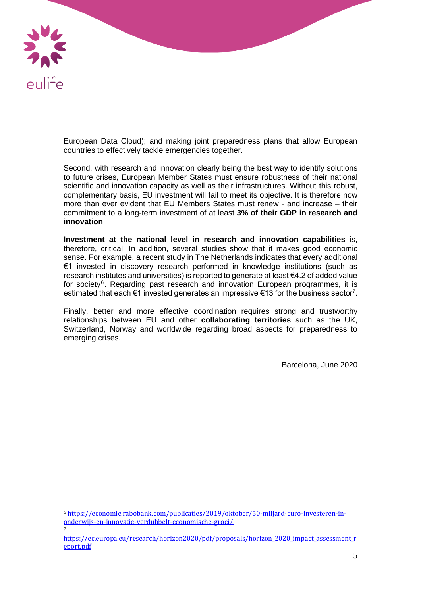

 $\overline{a}$ 

7

European Data Cloud); and making joint preparedness plans that allow European countries to effectively tackle emergencies together.

Second, with research and innovation clearly being the best way to identify solutions to future crises, European Member States must ensure robustness of their national scientific and innovation capacity as well as their infrastructures. Without this robust, complementary basis, EU investment will fail to meet its objective. It is therefore now more than ever evident that EU Members States must renew - and increase – their commitment to a long-term investment of at least **3% of their GDP in research and innovation**.

**Investment at the national level in research and innovation capabilities** is, therefore, critical. In addition, several studies show that it makes good economic sense. For example, a recent study in The Netherlands indicates that every additional €1 invested in discovery research performed in knowledge institutions (such as research institutes and universities) is reported to generate at least €4.2 of added value for society<sup>6</sup>. Regarding past research and innovation European programmes, it is estimated that each  $\epsilon$ 1 invested generates an impressive  $\epsilon$ 13 for the business sector<sup>7</sup>.

Finally, better and more effective coordination requires strong and trustworthy relationships between EU and other **collaborating territories** such as the UK, Switzerland, Norway and worldwide regarding broad aspects for preparedness to emerging crises.

Barcelona, June 2020

<sup>6</sup> [https://economie.rabobank.com/publicaties/2019/oktober/50-miljard-euro-investeren-in](https://economie.rabobank.com/publicaties/2019/oktober/50-miljard-euro-investeren-in-onderwijs-en-innovatie-verdubbelt-economische-groei/)[onderwijs-en-innovatie-verdubbelt-economische-groei/](https://economie.rabobank.com/publicaties/2019/oktober/50-miljard-euro-investeren-in-onderwijs-en-innovatie-verdubbelt-economische-groei/)

[https://ec.europa.eu/research/horizon2020/pdf/proposals/horizon\\_2020\\_impact\\_assessment\\_r](https://ec.europa.eu/research/horizon2020/pdf/proposals/horizon_2020_impact_assessment_report.pdf) [eport.pdf](https://ec.europa.eu/research/horizon2020/pdf/proposals/horizon_2020_impact_assessment_report.pdf)